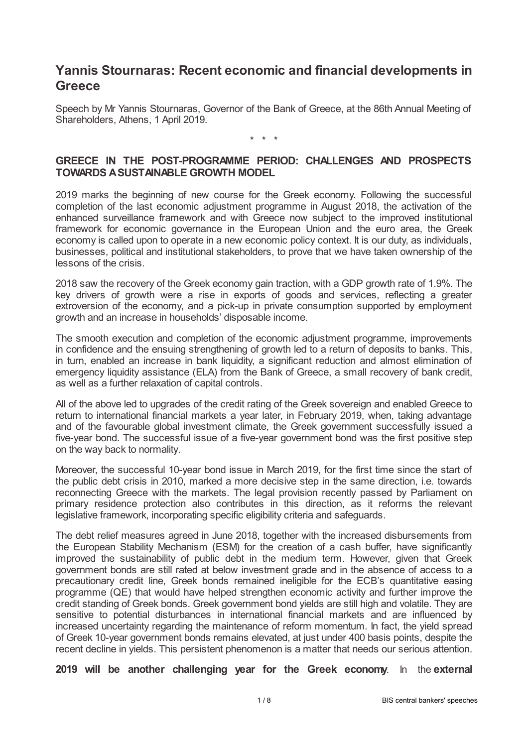# **Yannis Stournaras: Recent economic and financial developments in Greece**

Speech by Mr Yannis Stournaras, Governor of the Bank of Greece, at the 86th Annual Meeting of Shareholders, Athens, 1 April 2019.

\* \* \*

## **GREECE IN THE POST-PROGRAMME PERIOD: CHALLENGES AND PROSPECTS TOWARDS ASUSTAINABLE GROWTH MODEL**

2019 marks the beginning of new course for the Greek economy. Following the successful completion of the last economic adjustment programme in August 2018, the activation of the enhanced surveillance framework and with Greece now subject to the improved institutional framework for economic governance in the European Union and the euro area, the Greek economy is called upon to operate in a new economic policy context. It is our duty, as individuals, businesses, political and institutional stakeholders, to prove that we have taken ownership of the lessons of the crisis.

2018 saw the recovery of the Greek economy gain traction, with a GDP growth rate of 1.9%. The key drivers of growth were a rise in exports of goods and services, reflecting a greater extroversion of the economy, and a pick-up in private consumption supported by employment growth and an increase in households' disposable income.

The smooth execution and completion of the economic adjustment programme, improvements in confidence and the ensuing strengthening of growth led to a return of deposits to banks. This, in turn, enabled an increase in bank liquidity, a significant reduction and almost elimination of emergency liquidity assistance (ELA) from the Bank of Greece, a small recovery of bank credit, as well as a further relaxation of capital controls.

All of the above led to upgrades of the credit rating of the Greek sovereign and enabled Greece to return to international financial markets a year later, in February 2019, when, taking advantage and of the favourable global investment climate, the Greek government successfully issued a five-year bond. The successful issue of a five-year government bond was the first positive step on the way back to normality.

Moreover, the successful 10-year bond issue in March 2019, for the first time since the start of the public debt crisis in 2010, marked a more decisive step in the same direction, i.e. towards reconnecting Greece with the markets. The legal provision recently passed by Parliament on primary residence protection also contributes in this direction, as it reforms the relevant legislative framework, incorporating specific eligibility criteria and safeguards.

The debt relief measures agreed in June 2018, together with the increased disbursements from the European Stability Mechanism (ESM) for the creation of a cash buffer, have significantly improved the sustainability of public debt in the medium term. However, given that Greek government bonds are still rated at below investment grade and in the absence of access to a precautionary credit line, Greek bonds remained ineligible for the ECB's quantitative easing programme (QE) that would have helped strengthen economic activity and further improve the credit standing of Greek bonds. Greek government bond yields are still high and volatile. They are sensitive to potential disturbances in international financial markets and are influenced by increased uncertainty regarding the maintenance of reform momentum. In fact, the yield spread of Greek 10-year government bonds remains elevated, at just under 400 basis points, despite the recent decline in yields. This persistent phenomenon is a matter that needs our serious attention.

**2019 will be another challenging year for the Greek economy**. In the **external**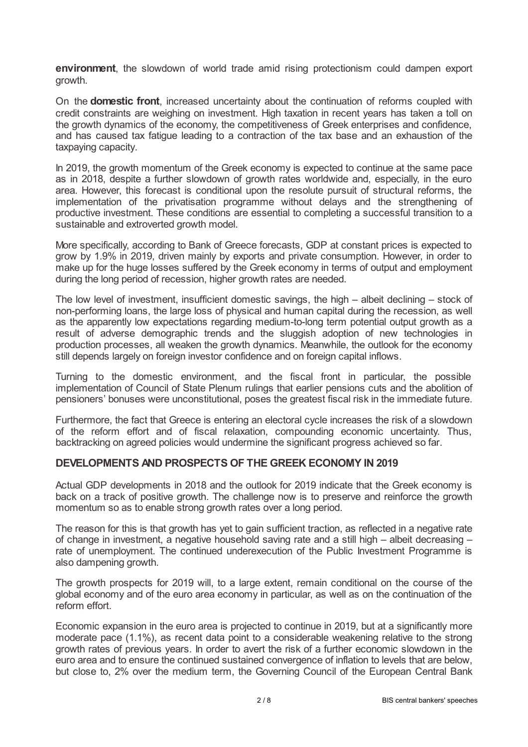**environment**, the slowdown of world trade amid rising protectionism could dampen export growth.

On the **domestic front**, increased uncertainty about the continuation of reforms coupled with credit constraints are weighing on investment. High taxation in recent years has taken a toll on the growth dynamics of the economy, the competitiveness of Greek enterprises and confidence, and has caused tax fatigue leading to a contraction of the tax base and an exhaustion of the taxpaying capacity.

In 2019, the growth momentum of the Greek economy is expected to continue at the same pace as in 2018, despite a further slowdown of growth rates worldwide and, especially, in the euro area. However, this forecast is conditional upon the resolute pursuit of structural reforms, the implementation of the privatisation programme without delays and the strengthening of productive investment. These conditions are essential to completing a successful transition to a sustainable and extroverted growth model.

More specifically, according to Bank of Greece forecasts, GDP at constant prices is expected to grow by 1.9% in 2019, driven mainly by exports and private consumption. However, in order to make up for the huge losses suffered by the Greek economy in terms of output and employment during the long period of recession, higher growth rates are needed.

The low level of investment, insufficient domestic savings, the high – albeit declining – stock of non-performing loans, the large loss of physical and human capital during the recession, as well as the apparently low expectations regarding medium-to-long term potential output growth as a result of adverse demographic trends and the sluggish adoption of new technologies in production processes, all weaken the growth dynamics. Meanwhile, the outlook for the economy still depends largely on foreign investor confidence and on foreign capital inflows.

Turning to the domestic environment, and the fiscal front in particular, the possible implementation of Council of State Plenum rulings that earlier pensions cuts and the abolition of pensioners' bonuses were unconstitutional, poses the greatest fiscal risk in the immediate future.

Furthermore, the fact that Greece is entering an electoral cycle increases the risk of a slowdown of the reform effort and of fiscal relaxation, compounding economic uncertainty. Thus, backtracking on agreed policies would undermine the significant progress achieved so far.

### **DEVELOPMENTS AND PROSPECTS OF THE GREEK ECONOMY IN 2019**

Actual GDP developments in 2018 and the outlook for 2019 indicate that the Greek economy is back on a track of positive growth. The challenge now is to preserve and reinforce the growth momentum so as to enable strong growth rates over a long period.

The reason for this is that growth has yet to gain sufficient traction, as reflected in a negative rate of change in investment, a negative household saving rate and a still high – albeit decreasing – rate of unemployment. The continued underexecution of the Public Investment Programme is also dampening growth.

The growth prospects for 2019 will, to a large extent, remain conditional on the course of the global economy and of the euro area economy in particular, as well as on the continuation of the reform effort.

Economic expansion in the euro area is projected to continue in 2019, but at a significantly more moderate pace (1.1%), as recent data point to a considerable weakening relative to the strong growth rates of previous years. In order to avert the risk of a further economic slowdown in the euro area and to ensure the continued sustained convergence of inflation to levels that are below, but close to, 2% over the medium term, the Governing Council of the European Central Bank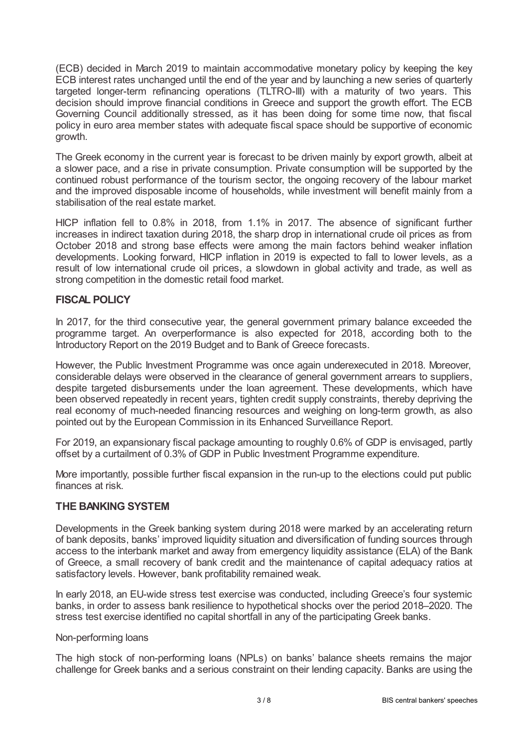(ECB) decided in March 2019 to maintain accommodative monetary policy by keeping the key ECB interest rates unchanged until the end of the year and by launching a new series of quarterly targeted longer-term refinancing operations (TLTRO-III) with a maturity of two years. This decision should improve financial conditions in Greece and support the growth effort. The ECB Governing Council additionally stressed, as it has been doing for some time now, that fiscal policy in euro area member states with adequate fiscal space should be supportive of economic growth.

The Greek economy in the current year is forecast to be driven mainly by export growth, albeit at a slower pace, and a rise in private consumption. Private consumption will be supported by the continued robust performance of the tourism sector, the ongoing recovery of the labour market and the improved disposable income of households, while investment will benefit mainly from a stabilisation of the real estate market.

HICP inflation fell to 0.8% in 2018, from 1.1% in 2017. The absence of significant further increases in indirect taxation during 2018, the sharp drop in international crude oil prices as from October 2018 and strong base effects were among the main factors behind weaker inflation developments. Looking forward, HICP inflation in 2019 is expected to fall to lower levels, as a result of low international crude oil prices, a slowdown in global activity and trade, as well as strong competition in the domestic retail food market.

## **FISCAL POLICY**

In 2017, for the third consecutive year, the general government primary balance exceeded the programme target. An overperformance is also expected for 2018, according both to the Introductory Report on the 2019 Budget and to Bank of Greece forecasts.

However, the Public Investment Programme was once again underexecuted in 2018. Moreover, considerable delays were observed in the clearance of general government arrears to suppliers, despite targeted disbursements under the loan agreement. These developments, which have been observed repeatedly in recent years, tighten credit supply constraints, thereby depriving the real economy of much-needed financing resources and weighing on long-term growth, as also pointed out by the European Commission in its Enhanced Surveillance Report.

For 2019, an expansionary fiscal package amounting to roughly 0.6% of GDP is envisaged, partly offset by a curtailment of 0.3% of GDP in Public Investment Programme expenditure.

More importantly, possible further fiscal expansion in the run-up to the elections could put public finances at risk.

## **THE BANKING SYSTEM**

Developments in the Greek banking system during 2018 were marked by an accelerating return of bank deposits, banks' improved liquidity situation and diversification of funding sources through access to the interbank market and away from emergency liquidity assistance (ELA) of the Bank of Greece, a small recovery of bank credit and the maintenance of capital adequacy ratios at satisfactory levels. However, bank profitability remained weak.

In early 2018, an EU-wide stress test exercise was conducted, including Greece's four systemic banks, in order to assess bank resilience to hypothetical shocks over the period 2018–2020. The stress test exercise identified no capital shortfall in any of the participating Greek banks.

#### Non-performing loans

The high stock of non-performing loans (NPLs) on banks' balance sheets remains the major challenge for Greek banks and a serious constraint on their lending capacity. Banks are using the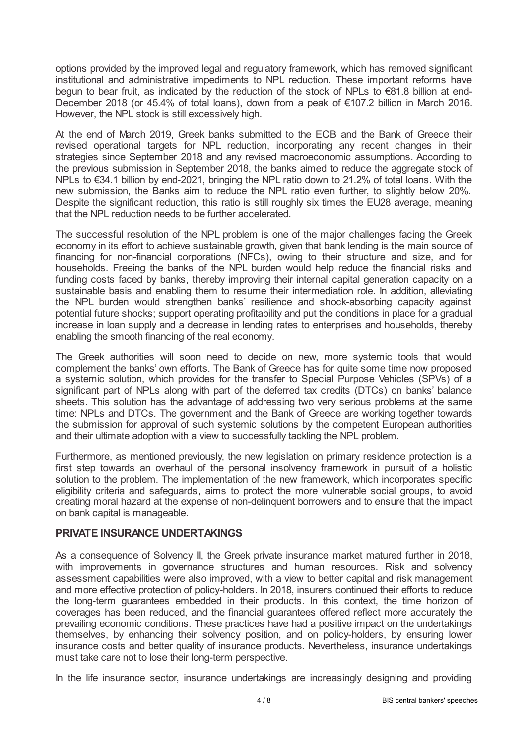options provided by the improved legal and regulatory framework, which has removed significant institutional and administrative impediments to NPL reduction. These important reforms have begun to bear fruit, as indicated by the reduction of the stock of NPLs to €81.8 billion at end-December 2018 (or 45.4% of total loans), down from a peak of €107.2 billion in March 2016. However, the NPL stock is still excessively high.

At the end of March 2019, Greek banks submitted to the ECB and the Bank of Greece their revised operational targets for NPL reduction, incorporating any recent changes in their strategies since September 2018 and any revised macroeconomic assumptions. According to the previous submission in September 2018, the banks aimed to reduce the aggregate stock of NPLs to €34.1 billion by end-2021, bringing the NPL ratio down to 21.2% of total loans. With the new submission, the Banks aim to reduce the NPL ratio even further, to slightly below 20%. Despite the significant reduction, this ratio is still roughly six times the EU28 average, meaning that the NPL reduction needs to be further accelerated.

The successful resolution of the NPL problem is one of the major challenges facing the Greek economy in its effort to achieve sustainable growth, given that bank lending is the main source of financing for non-financial corporations (NFCs), owing to their structure and size, and for households. Freeing the banks of the NPL burden would help reduce the financial risks and funding costs faced by banks, thereby improving their internal capital generation capacity on a sustainable basis and enabling them to resume their intermediation role. In addition, alleviating the NPL burden would strengthen banks' resilience and shock-absorbing capacity against potential future shocks; support operating profitability and put the conditions in place for a gradual increase in loan supply and a decrease in lending rates to enterprises and households, thereby enabling the smooth financing of the real economy.

The Greek authorities will soon need to decide on new, more systemic tools that would complement the banks' own efforts. The Bank of Greece has for quite some time now proposed a systemic solution, which provides for the transfer to Special Purpose Vehicles (SPVs) of a significant part of NPLs along with part of the deferred tax credits (DTCs) on banks' balance sheets. This solution has the advantage of addressing two very serious problems at the same time: NPLs and DTCs. The government and the Bank of Greece are working together towards the submission for approval of such systemic solutions by the competent European authorities and their ultimate adoption with a view to successfully tackling the NPL problem.

Furthermore, as mentioned previously, the new legislation on primary residence protection is a first step towards an overhaul of the personal insolvency framework in pursuit of a holistic solution to the problem. The implementation of the new framework, which incorporates specific eligibility criteria and safeguards, aims to protect the more vulnerable social groups, to avoid creating moral hazard at the expense of non-delinquent borrowers and to ensure that the impact on bank capital is manageable.

### **PRIVATE INSURANCE UNDERTAKINGS**

As a consequence of Solvency II, the Greek private insurance market matured further in 2018, with improvements in governance structures and human resources. Risk and solvency assessment capabilities were also improved, with a view to better capital and risk management and more effective protection of policy-holders. In 2018, insurers continued their efforts to reduce the long-term guarantees embedded in their products. In this context, the time horizon of coverages has been reduced, and the financial guarantees offered reflect more accurately the prevailing economic conditions. These practices have had a positive impact on the undertakings themselves, by enhancing their solvency position, and on policy-holders, by ensuring lower insurance costs and better quality of insurance products. Nevertheless, insurance undertakings must take care not to lose their long-term perspective.

In the life insurance sector, insurance undertakings are increasingly designing and providing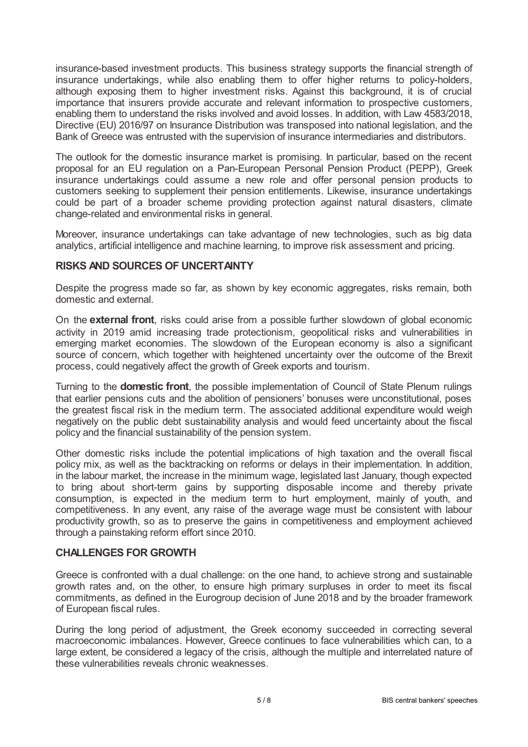insurance-based investment products. This business strategy supports the financial strength of insurance undertakings, while also enabling them to offer higher returns to policy-holders, although exposing them to higher investment risks. Against this background, it is of crucial importance that insurers provide accurate and relevant information to prospective customers, enabling them to understand the risks involved and avoid losses. In addition, with Law 4583/2018, Directive (EU) 2016/97 on Insurance Distribution was transposed into national legislation, and the Bank of Greece was entrusted with the supervision of insurance intermediaries and distributors.

The outlook for the domestic insurance market is promising. In particular, based on the recent proposal for an EU regulation on a Pan-European Personal Pension Product (PEPP), Greek insurance undertakings could assume a new role and offer personal pension products to customers seeking to supplement their pension entitlements. Likewise, insurance undertakings could be part of a broader scheme providing protection against natural disasters, climate change-related and environmental risks in general.

Moreover, insurance undertakings can take advantage of new technologies, such as big data analytics, artificial intelligence and machine learning, to improve risk assessment and pricing.

### **RISKS AND SOURCES OF UNCERTAINTY**

Despite the progress made so far, as shown by key economic aggregates, risks remain, both domestic and external.

On the **external front**, risks could arise from a possible further slowdown of global economic activity in 2019 amid increasing trade protectionism, geopolitical risks and vulnerabilities in emerging market economies. The slowdown of the European economy is also a significant source of concern, which together with heightened uncertainty over the outcome of the Brexit process, could negatively affect the growth of Greek exports and tourism.

Turning to the **domestic front**, the possible implementation of Council of State Plenum rulings that earlier pensions cuts and the abolition of pensioners' bonuses were unconstitutional, poses the greatest fiscal risk in the medium term. The associated additional expenditure would weigh negatively on the public debt sustainability analysis and would feed uncertainty about the fiscal policy and the financial sustainability of the pension system.

Other domestic risks include the potential implications of high taxation and the overall fiscal policy mix, as well as the backtracking on reforms or delays in their implementation. In addition, in the labour market, the increase in the minimum wage, legislated last January, though expected to bring about short-term gains by supporting disposable income and thereby private consumption, is expected in the medium term to hurt employment, mainly of youth, and competitiveness. In any event, any raise of the average wage must be consistent with labour productivity growth, so as to preserve the gains in competitiveness and employment achieved through a painstaking reform effort since 2010.

### **CHALLENGES FOR GROWTH**

Greece is confronted with a dual challenge: on the one hand, to achieve strong and sustainable growth rates and, on the other, to ensure high primary surpluses in order to meet its fiscal commitments, as defined in the Eurogroup decision of June 2018 and by the broader framework of European fiscal rules.

During the long period of adjustment, the Greek economy succeeded in correcting several macroeconomic imbalances. However, Greece continues to face vulnerabilities which can, to a large extent, be considered a legacy of the crisis, although the multiple and interrelated nature of these vulnerabilities reveals chronic weaknesses.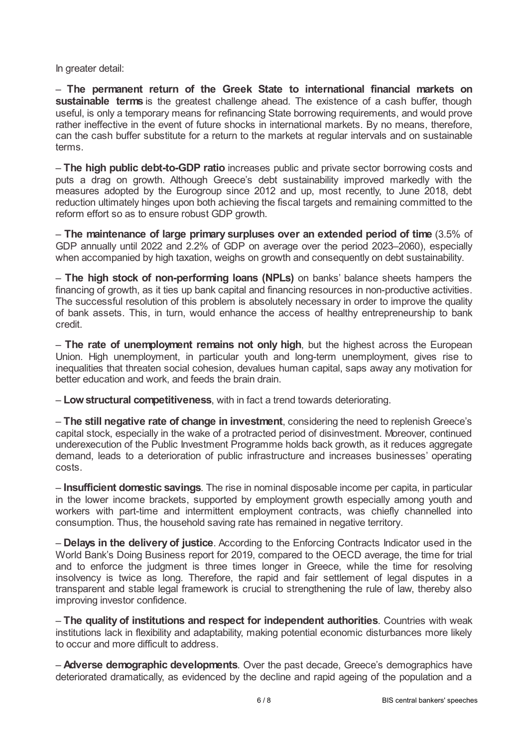In greater detail:

– **The permanent return of the Greek State to international financial markets on sustainable terms** is the greatest challenge ahead. The existence of a cash buffer, though useful, is only a temporary means for refinancing State borrowing requirements, and would prove rather ineffective in the event of future shocks in international markets. By no means, therefore, can the cash buffer substitute for a return to the markets at regular intervals and on sustainable terms.

– **The high public debt-to-GDP ratio** increases public and private sector borrowing costs and puts a drag on growth. Although Greece's debt sustainability improved markedly with the measures adopted by the Eurogroup since 2012 and up, most recently, to June 2018, debt reduction ultimately hinges upon both achieving the fiscal targets and remaining committed to the reform effort so as to ensure robust GDP growth.

– **The maintenance of large primary surpluses over an extended period of time** (3.5% of GDP annually until 2022 and 2.2% of GDP on average over the period 2023–2060), especially when accompanied by high taxation, weighs on growth and consequently on debt sustainability.

– **The high stock of non-performing loans (NPLs)** on banks' balance sheets hampers the financing of growth, as it ties up bank capital and financing resources in non-productive activities. The successful resolution of this problem is absolutely necessary in order to improve the quality of bank assets. This, in turn, would enhance the access of healthy entrepreneurship to bank credit.

– **The rate of unemployment remains not only high**, but the highest across the European Union. High unemployment, in particular youth and long-term unemployment, gives rise to inequalities that threaten social cohesion, devalues human capital, saps away any motivation for better education and work, and feeds the brain drain.

– **Lowstructural competitiveness**, with in fact a trend towards deteriorating.

– **The still negative rate of change in investment**, considering the need to replenish Greece's capital stock, especially in the wake of a protracted period of disinvestment. Moreover, continued underexecution of the Public Investment Programme holds back growth, as it reduces aggregate demand, leads to a deterioration of public infrastructure and increases businesses' operating costs.

– **Insufficient domestic savings**. The rise in nominal disposable income per capita, in particular in the lower income brackets, supported by employment growth especially among youth and workers with part-time and intermittent employment contracts, was chiefly channelled into consumption. Thus, the household saving rate has remained in negative territory.

– **Delays in the delivery of justice**. According to the Enforcing Contracts Indicator used in the World Bank's Doing Business report for 2019, compared to the OECD average, the time for trial and to enforce the judgment is three times longer in Greece, while the time for resolving insolvency is twice as long. Therefore, the rapid and fair settlement of legal disputes in a transparent and stable legal framework is crucial to strengthening the rule of law, thereby also improving investor confidence.

– **The quality of institutions and respect for independent authorities**. Countries with weak institutions lack in flexibility and adaptability, making potential economic disturbances more likely to occur and more difficult to address.

– **Adverse demographic developments**. Over the past decade, Greece's demographics have deteriorated dramatically, as evidenced by the decline and rapid ageing of the population and a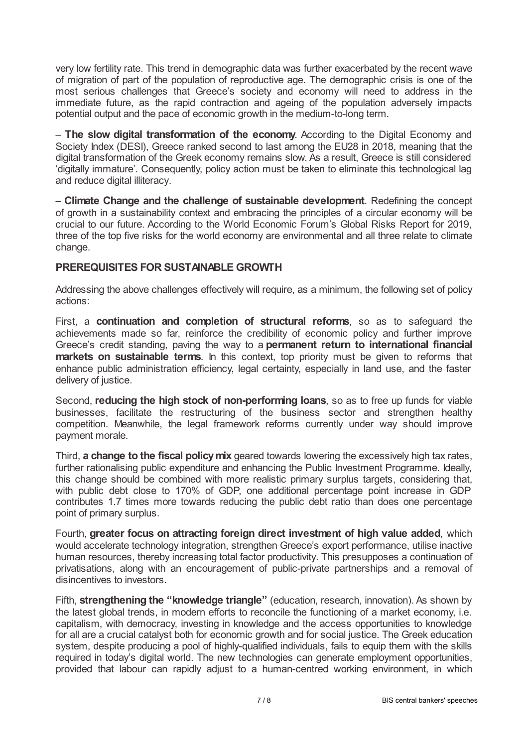very low fertility rate. This trend in demographic data was further exacerbated by the recent wave of migration of part of the population of reproductive age. The demographic crisis is one of the most serious challenges that Greece's society and economy will need to address in the immediate future, as the rapid contraction and ageing of the population adversely impacts potential output and the pace of economic growth in the medium-to-long term.

– **The slow digital transformation of the economy**. According to the Digital Economy and Society Index (DESI), Greece ranked second to last among the EU28 in 2018, meaning that the digital transformation of the Greek economy remains slow. As a result, Greece is still considered 'digitally immature'. Consequently, policy action must be taken to eliminate this technological lag and reduce digital illiteracy.

– **Climate Change and the challenge of sustainable development**. Redefining the concept of growth in a sustainability context and embracing the principles of a circular economy will be crucial to our future. According to the World Economic Forum's Global Risks Report for 2019, three of the top five risks for the world economy are environmental and all three relate to climate change.

## **PREREQUISITES FOR SUSTAINABLE GROWTH**

Addressing the above challenges effectively will require, as a minimum, the following set of policy actions:

First, a **continuation and completion of structural reforms**, so as to safeguard the achievements made so far, reinforce the credibility of economic policy and further improve Greece's credit standing, paving the way to a **permanent return to international financial markets on sustainable terms**. In this context, top priority must be given to reforms that enhance public administration efficiency, legal certainty, especially in land use, and the faster delivery of justice.

Second, **reducing the high stock of non-performing loans**, so as to free up funds for viable businesses, facilitate the restructuring of the business sector and strengthen healthy competition. Meanwhile, the legal framework reforms currently under way should improve payment morale.

Third, **a change to the fiscal policymix** geared towards lowering the excessively high tax rates, further rationalising public expenditure and enhancing the Public Investment Programme. Ideally, this change should be combined with more realistic primary surplus targets, considering that, with public debt close to 170% of GDP, one additional percentage point increase in GDP contributes 1.7 times more towards reducing the public debt ratio than does one percentage point of primary surplus.

Fourth, **greater focus on attracting foreign direct investment of high value added**, which would accelerate technology integration, strengthen Greece's export performance, utilise inactive human resources, thereby increasing total factor productivity. This presupposes a continuation of privatisations, along with an encouragement of public-private partnerships and a removal of disincentives to investors.

Fifth, **strengthening the "knowledge triangle"** (education, research, innovation). As shown by the latest global trends, in modern efforts to reconcile the functioning of a market economy, i.e. capitalism, with democracy, investing in knowledge and the access opportunities to knowledge for all are a crucial catalyst both for economic growth and for social justice. The Greek education system, despite producing a pool of highly-qualified individuals, fails to equip them with the skills required in today's digital world. The new technologies can generate employment opportunities, provided that labour can rapidly adjust to a human-centred working environment, in which